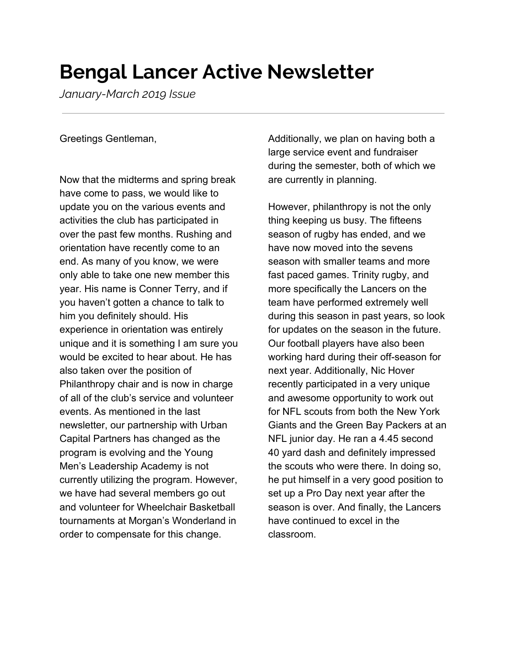## **Bengal Lancer Active Newsletter**

*January-March 2019 Issue*

Greetings Gentleman,

Now that the midterms and spring break have come to pass, we would like to update you on the various events and activities the club has participated in over the past few months. Rushing and orientation have recently come to an end. As many of you know, we were only able to take one new member this year. His name is Conner Terry, and if you haven't gotten a chance to talk to him you definitely should. His experience in orientation was entirely unique and it is something I am sure you would be excited to hear about. He has also taken over the position of Philanthropy chair and is now in charge of all of the club's service and volunteer events. As mentioned in the last newsletter, our partnership with Urban Capital Partners has changed as the program is evolving and the Young Men's Leadership Academy is not currently utilizing the program. However, we have had several members go out and volunteer for Wheelchair Basketball tournaments at Morgan's Wonderland in order to compensate for this change.

Additionally, we plan on having both a large service event and fundraiser during the semester, both of which we are currently in planning.

However, philanthropy is not the only thing keeping us busy. The fifteens season of rugby has ended, and we have now moved into the sevens season with smaller teams and more fast paced games. Trinity rugby, and more specifically the Lancers on the team have performed extremely well during this season in past years, so look for updates on the season in the future. Our football players have also been working hard during their off-season for next year. Additionally, Nic Hover recently participated in a very unique and awesome opportunity to work out for NFL scouts from both the New York Giants and the Green Bay Packers at an NFL junior day. He ran a 4.45 second 40 yard dash and definitely impressed the scouts who were there. In doing so, he put himself in a very good position to set up a Pro Day next year after the season is over. And finally, the Lancers have continued to excel in the classroom.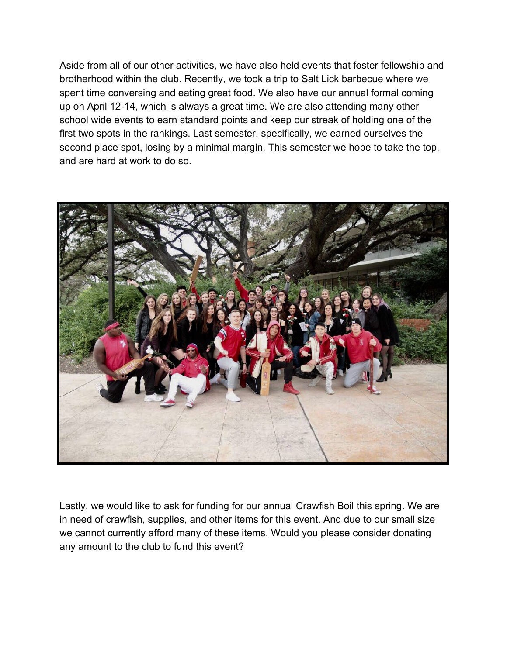Aside from all of our other activities, we have also held events that foster fellowship and brotherhood within the club. Recently, we took a trip to Salt Lick barbecue where we spent time conversing and eating great food. We also have our annual formal coming up on April 12-14, which is always a great time. We are also attending many other school wide events to earn standard points and keep our streak of holding one of the first two spots in the rankings. Last semester, specifically, we earned ourselves the second place spot, losing by a minimal margin. This semester we hope to take the top, and are hard at work to do so.



Lastly, we would like to ask for funding for our annual Crawfish Boil this spring. We are in need of crawfish, supplies, and other items for this event. And due to our small size we cannot currently afford many of these items. Would you please consider donating any amount to the club to fund this event?